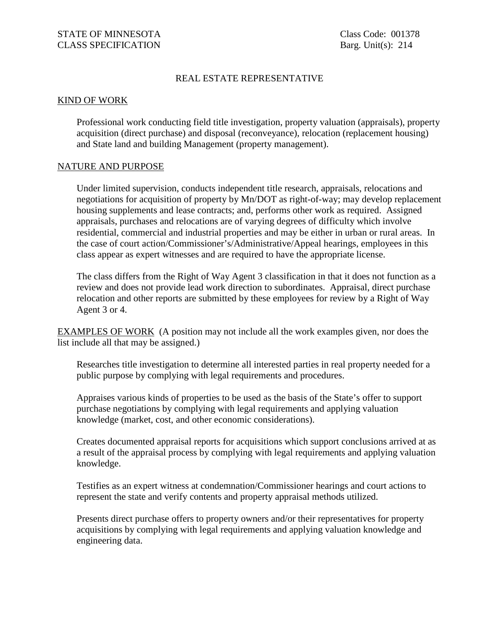## REAL ESTATE REPRESENTATIVE

## KIND OF WORK

Professional work conducting field title investigation, property valuation (appraisals), property acquisition (direct purchase) and disposal (reconveyance), relocation (replacement housing) and State land and building Management (property management).

## NATURE AND PURPOSE

Under limited supervision, conducts independent title research, appraisals, relocations and negotiations for acquisition of property by Mn/DOT as right-of-way; may develop replacement housing supplements and lease contracts; and, performs other work as required. Assigned appraisals, purchases and relocations are of varying degrees of difficulty which involve residential, commercial and industrial properties and may be either in urban or rural areas. In the case of court action/Commissioner's/Administrative/Appeal hearings, employees in this class appear as expert witnesses and are required to have the appropriate license.

The class differs from the Right of Way Agent 3 classification in that it does not function as a review and does not provide lead work direction to subordinates. Appraisal, direct purchase relocation and other reports are submitted by these employees for review by a Right of Way Agent 3 or 4.

EXAMPLES OF WORK (A position may not include all the work examples given, nor does the list include all that may be assigned.)

Researches title investigation to determine all interested parties in real property needed for a public purpose by complying with legal requirements and procedures.

Appraises various kinds of properties to be used as the basis of the State's offer to support purchase negotiations by complying with legal requirements and applying valuation knowledge (market, cost, and other economic considerations).

Creates documented appraisal reports for acquisitions which support conclusions arrived at as a result of the appraisal process by complying with legal requirements and applying valuation knowledge.

Testifies as an expert witness at condemnation/Commissioner hearings and court actions to represent the state and verify contents and property appraisal methods utilized.

Presents direct purchase offers to property owners and/or their representatives for property acquisitions by complying with legal requirements and applying valuation knowledge and engineering data.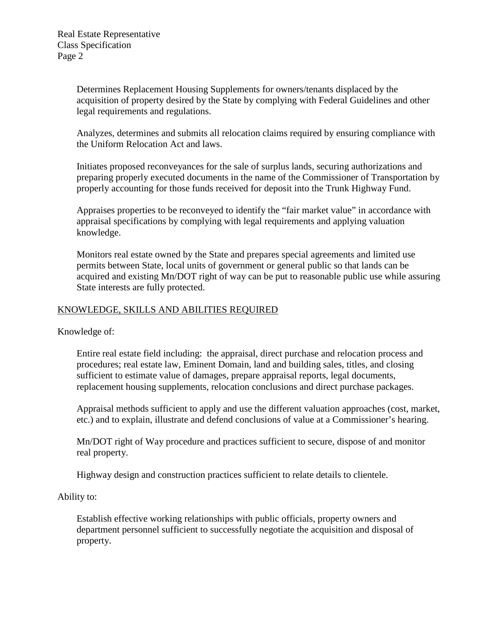Determines Replacement Housing Supplements for owners/tenants displaced by the acquisition of property desired by the State by complying with Federal Guidelines and other legal requirements and regulations.

Analyzes, determines and submits all relocation claims required by ensuring compliance with the Uniform Relocation Act and laws.

Initiates proposed reconveyances for the sale of surplus lands, securing authorizations and preparing properly executed documents in the name of the Commissioner of Transportation by properly accounting for those funds received for deposit into the Trunk Highway Fund.

Appraises properties to be reconveyed to identify the "fair market value" in accordance with appraisal specifications by complying with legal requirements and applying valuation knowledge.

Monitors real estate owned by the State and prepares special agreements and limited use permits between State, local units of government or general public so that lands can be acquired and existing Mn/DOT right of way can be put to reasonable public use while assuring State interests are fully protected.

## KNOWLEDGE, SKILLS AND ABILITIES REQUIRED

Knowledge of:

Entire real estate field including: the appraisal, direct purchase and relocation process and procedures; real estate law, Eminent Domain, land and building sales, titles, and closing sufficient to estimate value of damages, prepare appraisal reports, legal documents, replacement housing supplements, relocation conclusions and direct purchase packages.

Appraisal methods sufficient to apply and use the different valuation approaches (cost, market, etc.) and to explain, illustrate and defend conclusions of value at a Commissioner's hearing.

Mn/DOT right of Way procedure and practices sufficient to secure, dispose of and monitor real property.

Highway design and construction practices sufficient to relate details to clientele.

Ability to:

Establish effective working relationships with public officials, property owners and department personnel sufficient to successfully negotiate the acquisition and disposal of property.